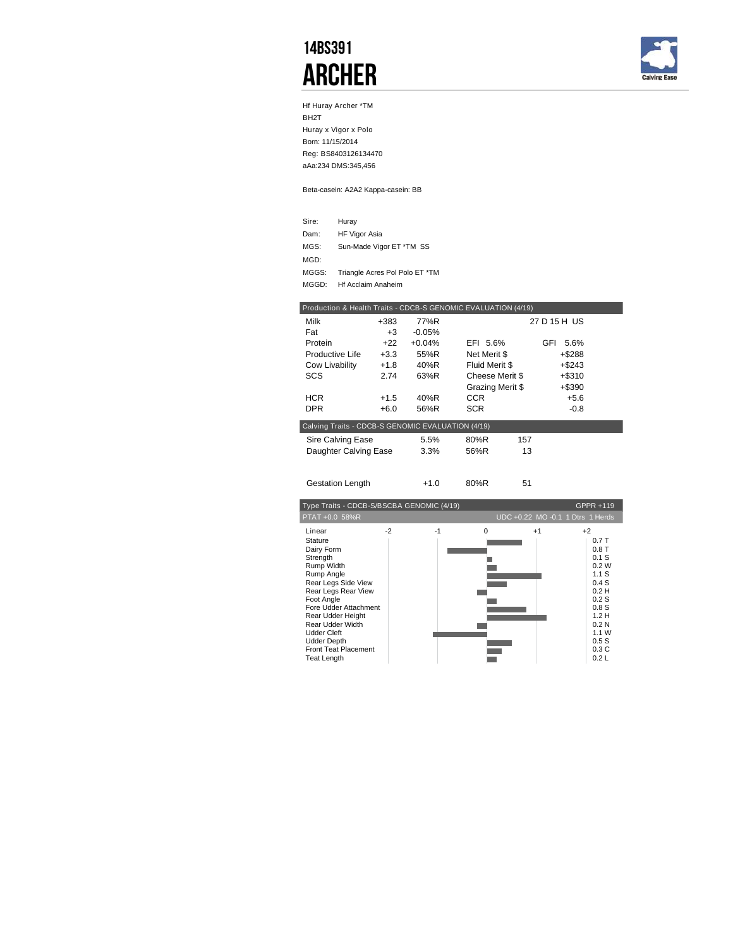## 14BS391 **ARCHER**



Hf Huray Archer \*TM BH2T Huray x Vigor x Polo Born: 11/15/2014 Reg: BS8403126134470 aAa:234 DMS:345,456

Beta-casein: A2A2 Kappa-casein: BB

| Sire: | Huray                          |
|-------|--------------------------------|
| Dam:  | <b>HF Vigor Asia</b>           |
| MGS:  | Sun-Made Vigor ET *TM SS       |
| MGD:  |                                |
| MGGS: | Triangle Acres Pol Polo ET *TM |
| MGGD: | <b>Hf Acclaim Anaheim</b>      |

|                                                   |        |          | Production & Health Traits - CDCB-S GENOMIC EVALUATION (4/19) |              |
|---------------------------------------------------|--------|----------|---------------------------------------------------------------|--------------|
| Milk                                              | +383   | 77%R     |                                                               | 27 D 15 H US |
| Fat                                               | $+3$   | $-0.05%$ |                                                               |              |
| Protein                                           | $+22$  | $+0.04%$ | EFI 5.6%                                                      | GFI<br>5.6%  |
| Productive Life                                   | $+3.3$ | 55%R     | Net Merit \$                                                  | $+ $288$     |
| Cow Livability                                    | $+1.8$ | 40%R     | Fluid Merit \$                                                | $+$ \$243    |
| <b>SCS</b>                                        | 2.74   | 63%R     | Cheese Merit \$                                               | $+ $310$     |
|                                                   |        |          | Grazing Merit \$                                              | $+$ \$390    |
| <b>HCR</b>                                        | $+1.5$ | 40%R     | <b>CCR</b>                                                    | $+5.6$       |
| DPR.                                              | $+6.0$ | 56%R     | <b>SCR</b>                                                    | $-0.8$       |
| Calving Traits - CDCB-S GENOMIC EVALUATION (4/19) |        |          |                                                               |              |
| Sire Calving Ease                                 |        | 5.5%     | 80%R                                                          | 157          |
| Daughter Calving Ease                             |        | 3.3%     | 56%R                                                          | 13           |
|                                                   |        |          |                                                               |              |
| <b>Gestation Length</b>                           |        | $+1.0$   | 80%R                                                          | 51           |

| Type Traits - CDCB-S/BSCBA GENOMIC (4/19)                                                                                                                                                                                                                                                       |      |      |          |      | GPPR +119                                                                                                                       |
|-------------------------------------------------------------------------------------------------------------------------------------------------------------------------------------------------------------------------------------------------------------------------------------------------|------|------|----------|------|---------------------------------------------------------------------------------------------------------------------------------|
| PTAT +0.0 58%R                                                                                                                                                                                                                                                                                  |      |      |          |      | UDC +0.22 MO -0.1 1 Dtrs 1 Herds                                                                                                |
| Linear<br>Stature<br>Dairy Form<br>Strength<br>Rump Width<br>Rump Angle<br>Rear Legs Side View<br>Rear Legs Rear View<br>Foot Angle<br>Fore Udder Attachment<br>Rear Udder Height<br>Rear Udder Width<br><b>Udder Cleft</b><br><b>Udder Depth</b><br><b>Front Teat Placement</b><br>Teat Length | $-2$ | $-1$ | $\Omega$ | $+1$ | $+2$<br>0.7T<br>0.8T<br>$0.1$ S<br>0.2W<br>1.1S<br>0.4S<br>0.2H<br>0.2S<br>0.8S<br>1.2H<br>0.2N<br>1.1W<br>0.5S<br>0.3C<br>0.2L |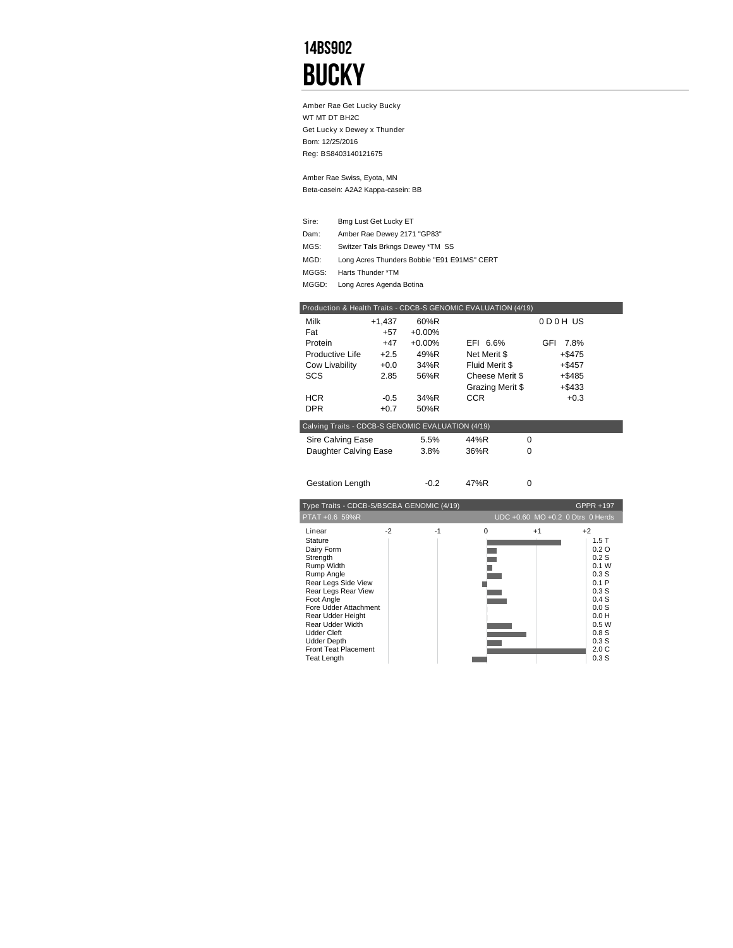## 14BS902 **BUCKY**

Amber Rae Get Lucky Bucky WT MT DT BH2C Get Lucky x Dewey x Thunder Born: 12/25/2016 Reg: BS8403140121675

Beta-casein: A2A2 Kappa-casein: BB Amber Rae Swiss, Eyota, MN

| Sire: | Bmg Lust Get Lucky ET                       |
|-------|---------------------------------------------|
| Dam:  | Amber Rae Dewey 2171 "GP83"                 |
| MGS:  | Switzer Tals Brkngs Dewey *TM SS            |
| MGD:  | Long Acres Thunders Bobbie "E91 E91MS" CERT |
| MGGS: | Harts Thunder *TM                           |
| MGGD: | Long Acres Agenda Botina                    |

| Production & Health Traits - CDCB-S GENOMIC EVALUATION (4/19) |          |          |                  |          |                                  |
|---------------------------------------------------------------|----------|----------|------------------|----------|----------------------------------|
| Milk                                                          | $+1,437$ | 60%R     |                  |          | 0D0HUS                           |
| Fat                                                           | $+57$    | $+0.00%$ |                  |          |                                  |
| Protein                                                       | $+47$    | $+0.00%$ | EFI 6.6%         | GFI      | 7.8%                             |
| Productive Life                                               | $+2.5$   | 49%R     | Net Merit \$     |          | $+ $475$                         |
| Cow Livability                                                | $+0.0$   | 34%R     | Fluid Merit \$   |          | $+$ \$457                        |
| <b>SCS</b>                                                    | 2.85     | 56%R     | Cheese Merit \$  |          | $+$ \$485                        |
|                                                               |          |          | Grazing Merit \$ |          | $+ $433$                         |
| <b>HCR</b>                                                    | $-0.5$   | 34%R     | <b>CCR</b>       |          | $+0.3$                           |
| <b>DPR</b>                                                    | $+0.7$   | 50%R     |                  |          |                                  |
| Calving Traits - CDCB-S GENOMIC EVALUATION (4/19)             |          |          |                  |          |                                  |
|                                                               |          |          |                  | $\Omega$ |                                  |
| Sire Calving Ease                                             |          | 5.5%     | 44%R             | $\Omega$ |                                  |
| Daughter Calving Ease                                         |          | 3.8%     | 36%R             |          |                                  |
|                                                               |          |          |                  |          |                                  |
| <b>Gestation Length</b>                                       |          | $-0.2$   | 47%R             | 0        |                                  |
|                                                               |          |          |                  |          |                                  |
| Type Traits - CDCB-S/BSCBA GENOMIC (4/19)                     |          |          |                  |          | GPPR +197                        |
| PTAT +0.6 59%R                                                |          |          |                  |          | UDC +0.60 MO +0.2 0 Dtrs 0 Herds |
| Linear                                                        | $-2$     | $-1$     | 0                | $+1$     | $+2$                             |
| <b>Stature</b>                                                |          |          |                  |          | 1.5T                             |
| Dairy Form                                                    |          |          |                  |          | 0.2O                             |
| Strength<br>Rump Width                                        |          |          |                  |          | 0.2S<br>0.1 W                    |
| Rump Angle                                                    |          |          |                  |          | 0.3S                             |
| Rear Legs Side View                                           |          |          |                  |          | 0.1P                             |
| Rear Legs Rear View                                           |          |          |                  |          | 0.3S                             |
| Foot Angle                                                    |          |          |                  |          | 0.4S                             |
| Fore Udder Attachment                                         |          |          |                  |          | 0.0S                             |
| Rear Udder Height                                             |          |          |                  |          | 0.0 H                            |
| Rear Udder Width                                              |          |          |                  |          | 0.5W                             |
| <b>Udder Cleft</b><br><b>Udder Depth</b>                      |          |          |                  |          | 0.8S<br>0.3S                     |
| <b>Front Teat Placement</b>                                   |          |          |                  |          | 2.0C                             |
| <b>Teat Length</b>                                            |          |          |                  |          | 0.3S                             |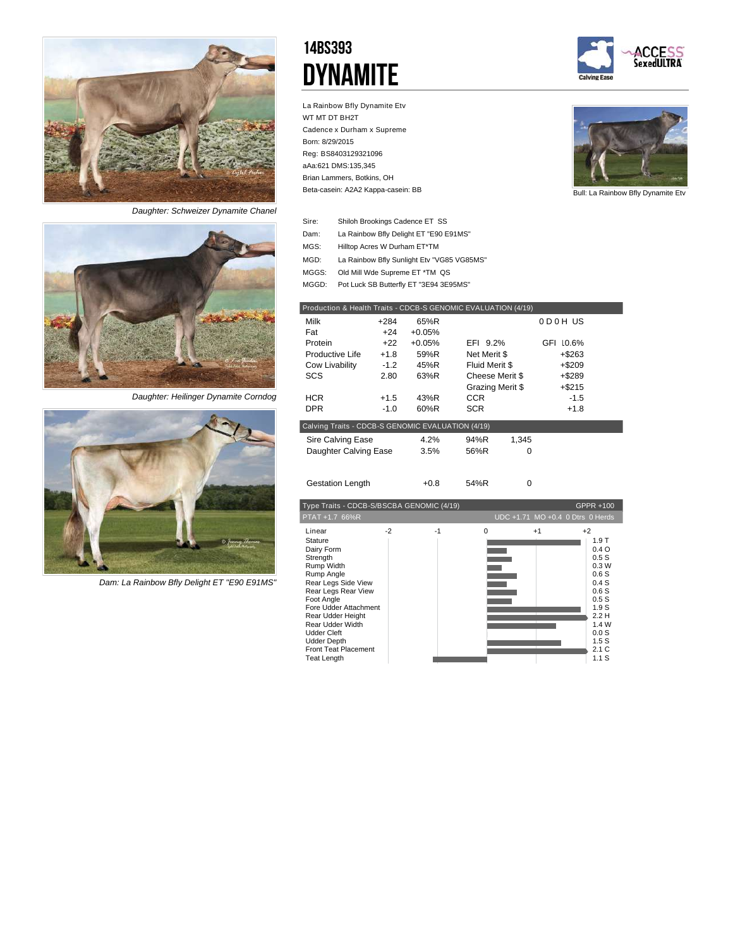

*Daughter: Schweizer Dynamite Chanel*



*Daughter: Heilinger Dynamite Corndog*



*Dam: La Rainbow Bfly Delight ET "E90 E91MS"*

## 14BS393 **DYNAMITE**

La Rainbow Bfly Dynamite Etv

Cadence x Durham x Supreme

Brian Lammers, Botkins, OH

Beta-casein: A2A2 Kappa-casein: BB

WT MT DT BH2T

Born: 8/29/2015 Reg: BS8403129321096 aAa:621 DMS:135,345





Bull: La Rainbow Bfly Dynamite Etv

| Sire: | Shiloh Brookings Cadence ET SS             |
|-------|--------------------------------------------|
| Dam:  | La Rainbow Bfly Delight ET "E90 E91MS"     |
| MGS:  | Hilltop Acres W Durham ET*TM               |
| MGD:  | La Rainbow Bfly Sunlight Etv "VG85 VG85MS" |
| MGGS: | Old Mill Wde Supreme ET *TM QS             |
| MGGD: | Pot Luck SB Butterfly ET "3E94 3E95MS"     |

| Production & Health Traits - CDCB-S GENOMIC EVALUATION (4/19) |        |          |                  |       |           |  |
|---------------------------------------------------------------|--------|----------|------------------|-------|-----------|--|
| Milk                                                          | +284   | 65%R     |                  |       | 0D0HUS    |  |
| Fat                                                           | $+24$  | $+0.05%$ |                  |       |           |  |
| Protein                                                       | $+22$  | $+0.05%$ | EFI 9.2%         |       | GFI 10.6% |  |
| Productive Life                                               | $+1.8$ | 59%R     | Net Merit \$     |       | $+$ \$263 |  |
| Cow Livability                                                | $-1.2$ | 45%R     | Fluid Merit \$   |       | $+$ \$209 |  |
| <b>SCS</b>                                                    | 2.80   | 63%R     | Cheese Merit \$  |       | $+$ \$289 |  |
|                                                               |        |          | Grazing Merit \$ |       | $+ $215$  |  |
| <b>HCR</b>                                                    | $+1.5$ | 43%R     | <b>CCR</b>       |       | $-1.5$    |  |
| <b>DPR</b>                                                    | $-1.0$ | 60%R     | <b>SCR</b>       |       | $+1.8$    |  |
| Calving Traits - CDCB-S GENOMIC EVALUATION (4/19)             |        |          |                  |       |           |  |
| Sire Calving Ease                                             |        | 4.2%     | 94%R             | 1.345 |           |  |
| Daughter Calving Ease                                         |        | 3.5%     | 56%R             | 0     |           |  |
|                                                               |        |          |                  |       |           |  |
| <b>Gestation Length</b>                                       |        | $+0.8$   | 54%R             | 0     |           |  |

| Type Traits - CDCB-S/BSCBA GENOMIC (4/19)                                                                                                                                                                                                                                                              |      |      |          |      | GPPR +100                                                                                                                                 |
|--------------------------------------------------------------------------------------------------------------------------------------------------------------------------------------------------------------------------------------------------------------------------------------------------------|------|------|----------|------|-------------------------------------------------------------------------------------------------------------------------------------------|
| PTAT +1.7 66%R                                                                                                                                                                                                                                                                                         |      |      |          |      | UDC +1.71 MO +0.4 0 Dtrs 0 Herds                                                                                                          |
| Linear<br>Stature<br>Dairy Form<br>Strength<br>Rump Width<br>Rump Angle<br>Rear Legs Side View<br>Rear Legs Rear View<br>Foot Angle<br>Fore Udder Attachment<br>Rear Udder Height<br>Rear Udder Width<br><b>Udder Cleft</b><br><b>Udder Depth</b><br><b>Front Teat Placement</b><br><b>Teat Length</b> | $-2$ | $-1$ | $\Omega$ | $+1$ | $+2$<br>1.9T<br>0.4O<br>0.5S<br>0.3W<br>0.6S<br>0.4S<br>0.6S<br>0.5S<br>1.9 <sub>S</sub><br>2.2H<br>1.4 W<br>0.0S<br>1.5S<br>2.1C<br>1.1S |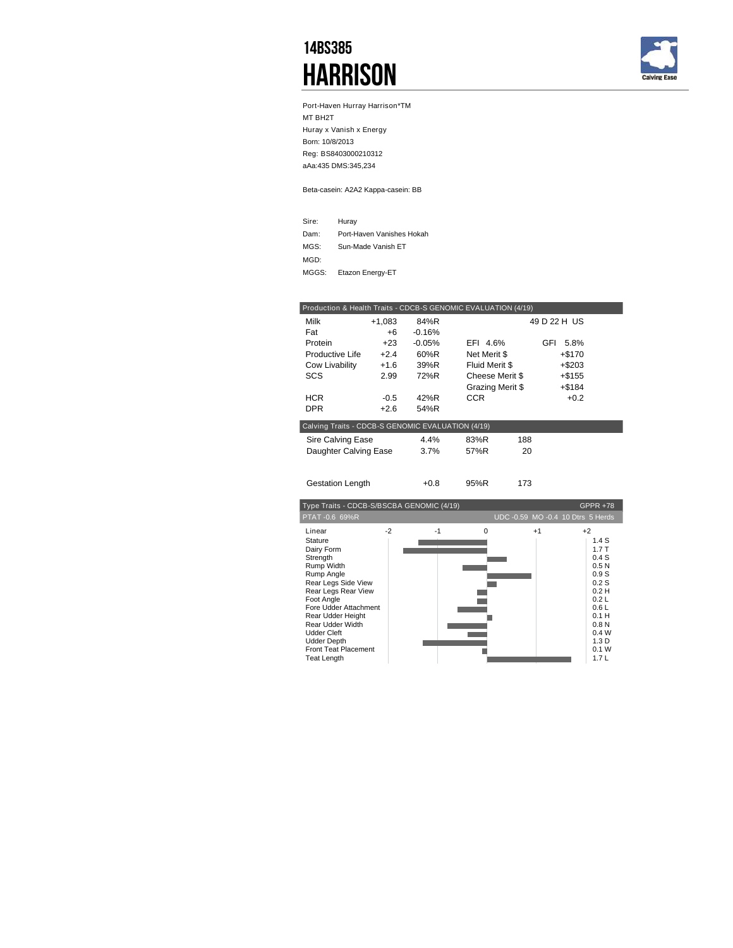## 14BS385 **HARRISON**



Port-Haven Hurray Harrison\*TM MT BH2T Huray x Vanish x Energy Born: 10/8/2013 Reg: BS8403000210312 aAa:435 DMS:345,234

Beta-casein: A2A2 Kappa-casein: BB

| Sire: | Huray                     |
|-------|---------------------------|
| Dam:  | Port-Haven Vanishes Hokah |
| MGS:  | Sun-Made Vanish ET        |
| MGD:  |                           |
| MGGS: | Etazon Energy-ET          |

|                                                   |        |          | Production & Health Traits - CDCB-S GENOMIC EVALUATION (4/19) |              |
|---------------------------------------------------|--------|----------|---------------------------------------------------------------|--------------|
| Milk                                              | +1,083 | 84%R     |                                                               | 49 D 22 H US |
| Fat                                               | +6     | $-0.16%$ |                                                               |              |
| Protein                                           | $+23$  | $-0.05%$ | EFI 4.6%                                                      | GFI<br>5.8%  |
| Productive Life                                   | $+2.4$ | 60%R     | Net Merit \$                                                  | $+ $170$     |
| Cow Livability                                    | $+1.6$ | 39%R     | Fluid Merit \$                                                | $+ $203$     |
| SCS                                               | 2.99   | 72%R     | Cheese Merit \$                                               | $+$ \$155    |
|                                                   |        |          | Grazing Merit \$                                              | $+$ \$184    |
| <b>HCR</b>                                        | $-0.5$ | 42%R     | <b>CCR</b>                                                    | $+0.2$       |
| <b>DPR</b>                                        | $+2.6$ | 54%R     |                                                               |              |
| Calving Traits - CDCB-S GENOMIC EVALUATION (4/19) |        |          |                                                               |              |
| Sire Calving Ease                                 |        | 4.4%     | 83%R<br>188                                                   |              |
| Daughter Calving Ease                             |        | 3.7%     | 57%R<br>20                                                    |              |
|                                                   |        |          |                                                               |              |
| <b>Gestation Length</b>                           |        | $+0.8$   | 95%R<br>173                                                   |              |

| Type Traits - CDCB-S/BSCBA GENOMIC (4/19)<br><b>GPPR +78</b>                                                                                                                                                                                                                             |      |      |   |      |                                                                                                                                           |
|------------------------------------------------------------------------------------------------------------------------------------------------------------------------------------------------------------------------------------------------------------------------------------------|------|------|---|------|-------------------------------------------------------------------------------------------------------------------------------------------|
| PTAT-0.6 69%R                                                                                                                                                                                                                                                                            |      |      |   |      | UDC -0.59 MO -0.4 10 Dtrs 5 Herds                                                                                                         |
| Linear<br>Stature<br>Dairy Form<br>Strength<br>Rump Width<br>Rump Angle<br>Rear Legs Side View<br>Rear Legs Rear View<br>Foot Angle<br>Fore Udder Attachment<br>Rear Udder Height<br>Rear Udder Width<br>Udder Cleft<br><b>Udder Depth</b><br><b>Front Teat Placement</b><br>Teat Length | $-2$ | $-1$ | O | $+1$ | $+2$<br>1.4S<br>1.7T<br>0.4S<br>0.5N<br>0.9S<br>0.2S<br>0.2H<br>0.2L<br>0.6L<br>0.1H<br>0.8N<br>0.4W<br>1.3 <sub>D</sub><br>0.1 W<br>1.7L |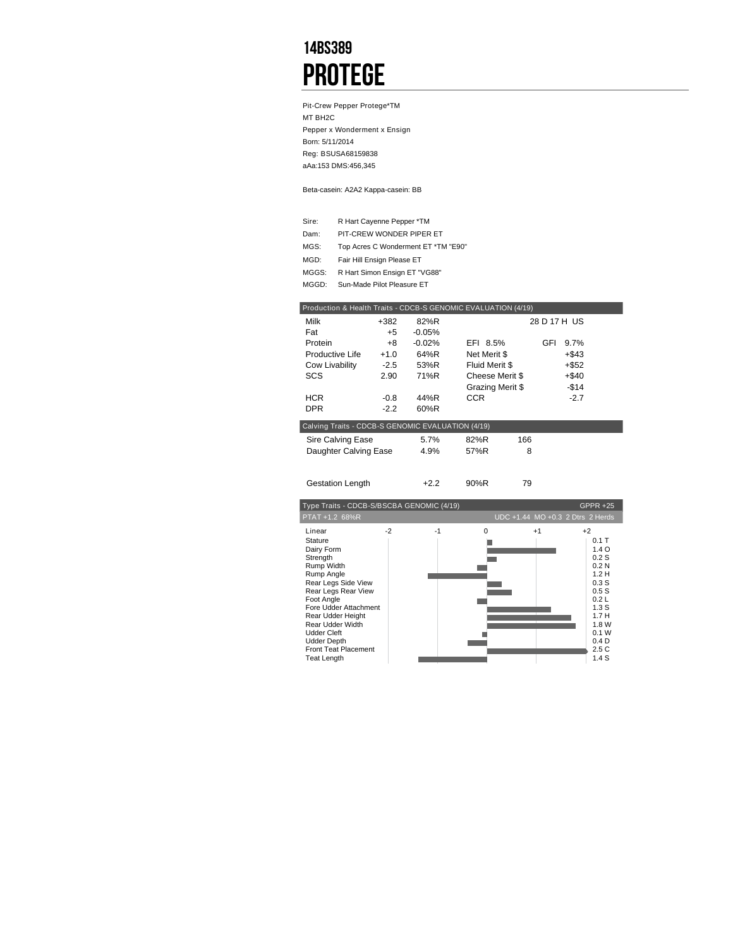## 14BS389 **PROTEGE**

Pit-Crew Pepper Protege\*TM MT BH2C Pepper x Wonderment x Ensign Born: 5/11/2014 Reg: BSUSA68159838 aAa:153 DMS:456,345

Beta-casein: A2A2 Kappa-casein: BB

| Sire: | R Hart Cayenne Pepper *TM           |
|-------|-------------------------------------|
| Dam:  | PIT-CREW WONDER PIPER ET            |
| MGS:  | Top Acres C Wonderment ET *TM "E90" |
| MGD:  | Fair Hill Ensign Please ET          |
| MGGS: | R Hart Simon Ensign ET "VG88"       |
| MGGD: | Sun-Made Pilot Pleasure ET          |

| Production & Health Traits - CDCB-S GENOMIC EVALUATION (4/19) |        |          |                  |     |     |          |  |
|---------------------------------------------------------------|--------|----------|------------------|-----|-----|----------|--|
| Milk                                                          | $+382$ | 82%R     | 28 D 17 H US     |     |     |          |  |
| Fat                                                           | $+5$   | $-0.05%$ |                  |     |     |          |  |
| Protein                                                       | +8     | $-0.02%$ | EFI 8.5%         |     | GFI | 9.7%     |  |
| Productive Life                                               | $+1.0$ | 64%R     | Net Merit \$     |     |     | $+$ \$43 |  |
| Cow Livability                                                | $-2.5$ | 53%R     | Fluid Merit \$   |     |     | $+$ \$52 |  |
| SCS                                                           | 2.90   | 71%R     | Cheese Merit \$  |     |     | $+$ \$40 |  |
|                                                               |        |          | Grazing Merit \$ |     |     | $-$14$   |  |
| <b>HCR</b>                                                    | $-0.8$ | 44%R     | <b>CCR</b>       |     |     | $-2.7$   |  |
| DPR.                                                          | $-2.2$ | 60%R     |                  |     |     |          |  |
| Calving Traits - CDCB-S GENOMIC EVALUATION (4/19)             |        |          |                  |     |     |          |  |
| Sire Calving Ease                                             |        | 5.7%     | 82%R             | 166 |     |          |  |
| Daughter Calving Ease                                         |        | 4.9%     | 57%R             | 8   |     |          |  |
|                                                               |        |          |                  |     |     |          |  |
| <b>Gestation Length</b>                                       |        | $+2.2$   | 90%R             | 79  |     |          |  |

| Type Traits - CDCB-S/BSCBA GENOMIC (4/19)                                                                                                                                                                                                                                                              |              |          |      | <b>GPPR +25</b>                                                                                                                                           |
|--------------------------------------------------------------------------------------------------------------------------------------------------------------------------------------------------------------------------------------------------------------------------------------------------------|--------------|----------|------|-----------------------------------------------------------------------------------------------------------------------------------------------------------|
| PTAT +1.2 68%R                                                                                                                                                                                                                                                                                         |              |          |      | UDC +1.44 MO +0.3 2 Dtrs 2 Herds                                                                                                                          |
| Linear<br>Stature<br>Dairy Form<br>Strength<br>Rump Width<br>Rump Angle<br>Rear Legs Side View<br>Rear Legs Rear View<br>Foot Angle<br>Fore Udder Attachment<br>Rear Udder Height<br>Rear Udder Width<br><b>Udder Cleft</b><br><b>Udder Depth</b><br><b>Front Teat Placement</b><br><b>Teat Length</b> | $-2$<br>$-1$ | $\Omega$ | $+1$ | $+2$<br>$0.1$ T<br>1.4 <sub>O</sub><br>0.2S<br>0.2N<br>1.2H<br>0.3S<br>0.5S<br>0.2L<br>1.3S<br>1.7H<br>1.8 W<br>0.1 W<br>0.4 <sub>D</sub><br>2.5C<br>1.4S |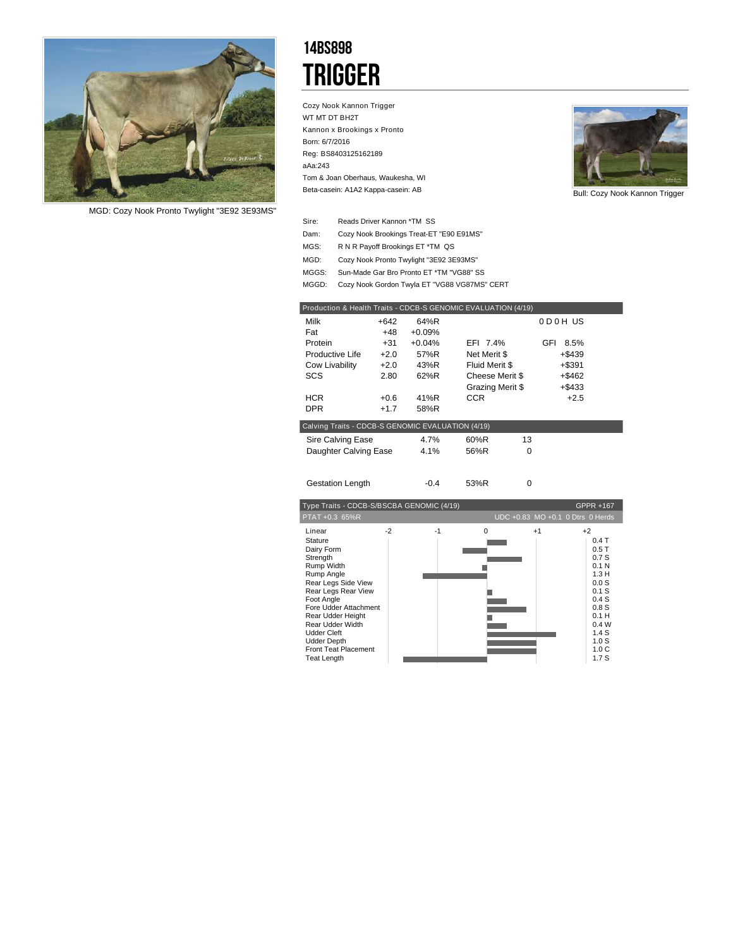

*MGD: Cozy Nook Pronto Twylight "3E92 3E93MS"*

## 14BS898 **TRIGGER**

Cozy Nook Kannon Trigger WT MT DT BH2T Kannon x Brookings x Pronto Born: 6/7/2016 Reg: BS8403125162189 aAa:243 Beta-casein: A1A2 Kappa-casein: AB Tom & Joan Oberhaus, Waukesha, WI



Bull: Cozy Nook Kannon Trigger

- Reads Driver Kannon \*TM SS Sire:
- Dam: Cozy Nook Brookings Treat-ET "E90 E91MS"
- R N R Payoff Brookings ET \*TM QS MGS:
- Cozy Nook Pronto Twylight "3E92 3E93MS" MGD:
- MGGS: Sun-Made Gar Bro Pronto ET \*TM "VG88" SS
- MGGD: Cozy Nook Gordon Twyla ET "VG88 VG87MS" CERT

| Production & Health Traits - CDCB-S GENOMIC EVALUATION (4/19) |        |          |                  |          |             |  |
|---------------------------------------------------------------|--------|----------|------------------|----------|-------------|--|
| Milk                                                          | $+642$ | 64%R     |                  |          | 0D0HUS      |  |
| Fat                                                           | $+48$  | $+0.09%$ |                  |          |             |  |
| Protein                                                       | +31    | $+0.04%$ | EFI 7.4%         |          | GFI<br>8.5% |  |
| Productive Life                                               | $+2.0$ | 57%R     | Net Merit \$     |          | +\$439      |  |
| Cow Livability                                                | $+2.0$ | 43%R     | Fluid Merit \$   |          | $+ $391$    |  |
| SCS                                                           | 2.80   | 62%R     | Cheese Merit \$  |          | $+$ \$462   |  |
|                                                               |        |          | Grazing Merit \$ |          | $+$ \$433   |  |
| <b>HCR</b>                                                    | $+0.6$ | 41%R     | CCR.             |          | $+2.5$      |  |
| <b>DPR</b>                                                    | $+1.7$ | 58%R     |                  |          |             |  |
| Calving Traits - CDCB-S GENOMIC EVALUATION (4/19)             |        |          |                  |          |             |  |
| Sire Calving Ease                                             |        | 4.7%     | 60%R             | 13       |             |  |
| Daughter Calving Ease                                         |        | 4.1%     | 56%R             | $\Omega$ |             |  |
|                                                               |        |          |                  |          |             |  |
| <b>Gestation Length</b>                                       |        | $-0.4$   | 53%R             | $\Omega$ |             |  |

|                                                                                                                                                                                                                                                                                                        | Type Traits - CDCB-S/BSCBA GENOMIC (4/19)<br><b>GPPR +167</b> |      |          |      |                                                                                                                                                         |
|--------------------------------------------------------------------------------------------------------------------------------------------------------------------------------------------------------------------------------------------------------------------------------------------------------|---------------------------------------------------------------|------|----------|------|---------------------------------------------------------------------------------------------------------------------------------------------------------|
| PTAT +0.3 65%R                                                                                                                                                                                                                                                                                         |                                                               |      |          |      | UDC +0.83 MO +0.1 0 Dtrs 0 Herds                                                                                                                        |
| Linear<br>Stature<br>Dairy Form<br>Strength<br>Rump Width<br>Rump Angle<br>Rear Legs Side View<br>Rear Legs Rear View<br>Foot Angle<br>Fore Udder Attachment<br>Rear Udder Height<br>Rear Udder Width<br><b>Udder Cleft</b><br><b>Udder Depth</b><br><b>Front Teat Placement</b><br><b>Teat Length</b> | $-2$                                                          | $-1$ | $\Omega$ | $+1$ | $+2$<br>$0.4$ T<br>0.5T<br>0.7S<br>0.1 <sub>N</sub><br>1.3H<br>0.0S<br>0.1S<br>0.4S<br>0.8S<br>0.1H<br>0.4W<br>1.4S<br>1.0S<br>1.0 <sub>C</sub><br>1.7S |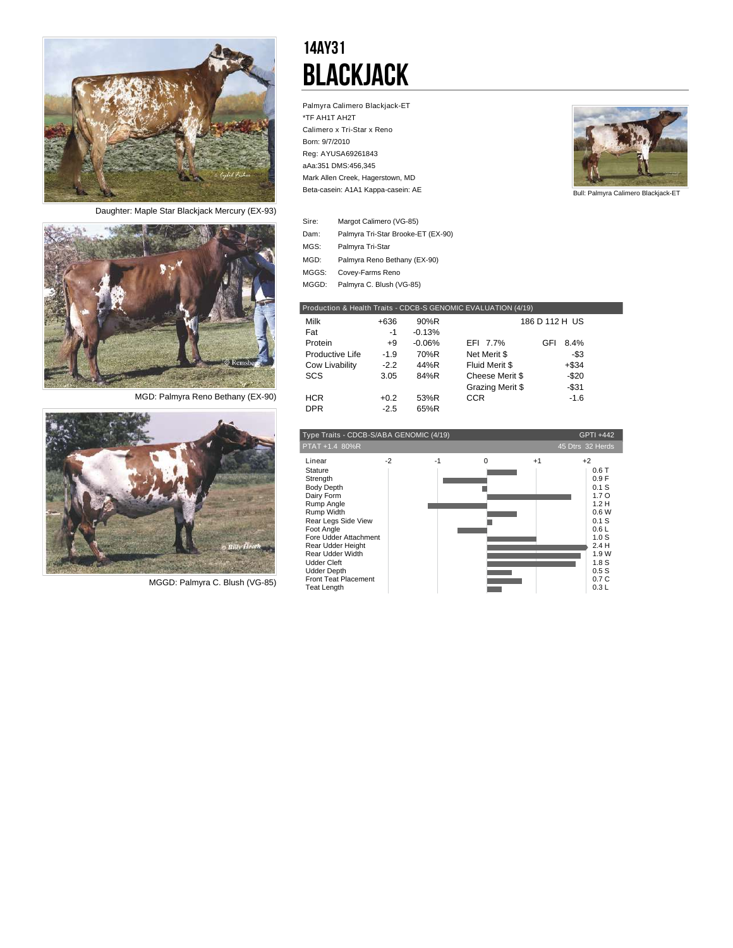

*Daughter: Maple Star Blackjack Mercury (EX-93)*



*MGD: Palmyra Reno Bethany (EX-90)*



*MGGD: Palmyra C. Blush (VG-85)*

## 14AY31 Blackjack

Palmyra Calimero Blackjack-ET \*TF AH1T AH2T Calimero x Tri-Star x Reno Born: 9/7/2010 Reg: AYUSA69261843 aAa:351 DMS:456,345 Beta-casein: A1A1 Kappa-casein: AE Mark Allen Creek, Hagerstown, MD



Bull: Palmyra Calimero Blackjack-ET

| Sire: | Margot Calimero (VG-85)            |
|-------|------------------------------------|
| Dam:  | Palmyra Tri-Star Brooke-ET (EX-90) |
| MGS:  | Palmyra Tri-Star                   |
| MGD:  | Palmyra Reno Bethany (EX-90)       |
| MGGS: | Covey-Farms Reno                   |
| MGGD: | Palmyra C. Blush (VG-85)           |

| Production & Health Traits - CDCB-S GENOMIC EVALUATION (4/19) |        |          |                  |                |  |
|---------------------------------------------------------------|--------|----------|------------------|----------------|--|
| Milk                                                          | +636   | 90%R     |                  | 186 D 112 H US |  |
| Fat                                                           | $-1$   | $-0.13%$ |                  |                |  |
| Protein                                                       | $+9$   | $-0.06%$ | EFI 7.7%         | 8.4%<br>GFI    |  |
| Productive Life                                               | $-1.9$ | 70%R     | Net Merit \$     | -\$3           |  |
| Cow Livability                                                | $-2.2$ | 44%R     | Fluid Merit \$   | $+$ \$34       |  |
| SCS                                                           | 3.05   | 84%R     | Cheese Merit \$  | $-$20$         |  |
|                                                               |        |          | Grazing Merit \$ | $-$ \$31       |  |
| HCR.                                                          | $+0.2$ | 53%R     | <b>CCR</b>       | $-1.6$         |  |
| <b>DPR</b>                                                    | $-2.5$ | 65%R     |                  |                |  |

| Type Traits - CDCB-S/ABA GENOMIC (4/19)<br>GPTI +442                                                                                                                                                                                                                                                 |      |      |          |      |                                                                                                                                                                    |
|------------------------------------------------------------------------------------------------------------------------------------------------------------------------------------------------------------------------------------------------------------------------------------------------------|------|------|----------|------|--------------------------------------------------------------------------------------------------------------------------------------------------------------------|
| PTAT +1.4 80%R                                                                                                                                                                                                                                                                                       |      |      |          |      | 45 Dtrs 32 Herds                                                                                                                                                   |
| Linear<br>Stature<br>Strength<br><b>Body Depth</b><br>Dairy Form<br>Rump Angle<br>Rump Width<br>Rear Legs Side View<br>Foot Angle<br>Fore Udder Attachment<br>Rear Udder Height<br>Rear Udder Width<br><b>Udder Cleft</b><br><b>Udder Depth</b><br><b>Front Teat Placement</b><br><b>Teat Length</b> | $-2$ | $-1$ | $\Omega$ | $+1$ | $+2$<br>0.6T<br>0.9F<br>0.1S<br>1.7 <sub>O</sub><br>1.2H<br>0.6W<br>0.1 S<br>0.6L<br>1.0 <sub>S</sub><br>2.4H<br>1.9 W<br>1.8 <sub>S</sub><br>0.5S<br>0.7C<br>0.3L |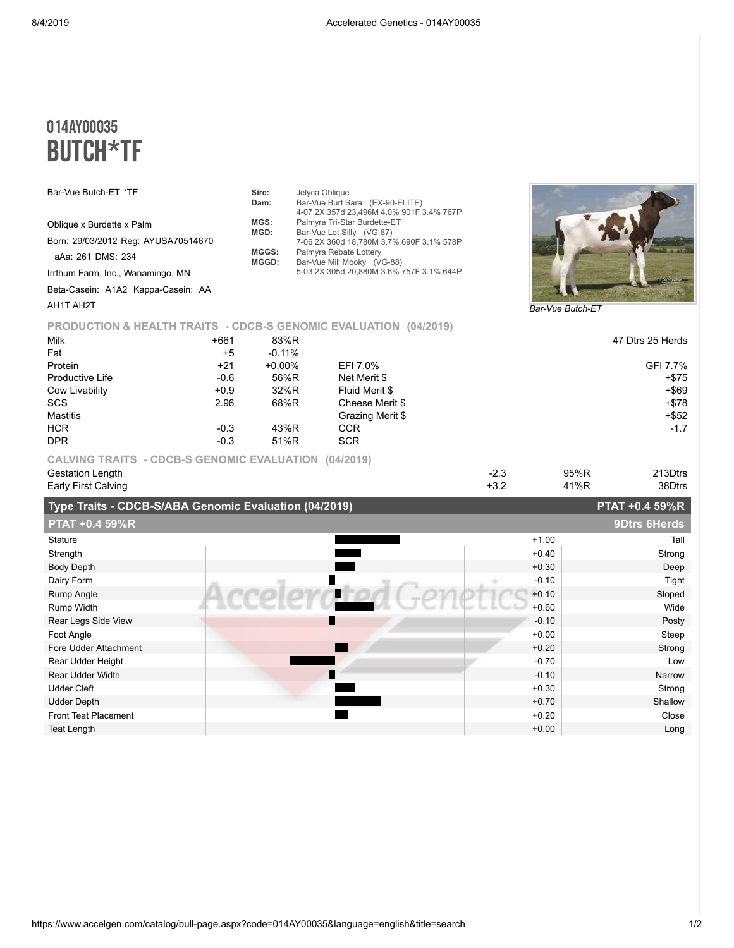## 014AY00035 BUTCH\*TF

| Bar-Vue Butch-ET *TF                |        | Sire:     | Jelyca Oblique                                                   |                  |
|-------------------------------------|--------|-----------|------------------------------------------------------------------|------------------|
|                                     |        | Dam:      | Bar-Vue Burt Sara (EX-90-ELITE)                                  |                  |
|                                     |        |           | 4-07 2X 357d 23,496M 4.0% 901F 3.4% 767P                         |                  |
| Oblique x Burdette x Palm           |        | MGS:      | Palmyra Tri-Star Burdette-ET                                     |                  |
|                                     |        | MGD:      | Bar-Vue Lot Silly (VG-87)                                        |                  |
| Born: 29/03/2012 Reg: AYUSA70514670 |        |           | 7-06 2X 360d 18,780M 3.7% 690F 3.1% 578P                         |                  |
| aAa: 261 DMS: 234                   |        | MGGS:     | Palmyra Rebate Lottery                                           |                  |
|                                     |        | MGGD:     | Bar-Vue Mill Mooky (VG-88)                                       |                  |
| Irrthum Farm, Inc., Wanamingo, MN   |        |           | 5-03 2X 305d 20,880M 3.6% 757F 3.1% 644P                         |                  |
| Beta-Casein: A1A2 Kappa-Casein: AA  |        |           |                                                                  |                  |
| AH1T AH2T                           |        |           |                                                                  |                  |
|                                     |        |           |                                                                  | Bar-Vue Butch-ET |
|                                     |        |           | PRODUCTION & HEALTH TRAITS - CDCB-S GENOMIC EVALUATION (04/2019) |                  |
| Milk                                | $+661$ | 83%R      |                                                                  | 47 Dtrs 25 Herds |
| Fat                                 | $+5$   | $-0.11%$  |                                                                  |                  |
| Protein                             | $+21$  | $+0.00\%$ | EFI 7.0%                                                         | GFI 7.7%         |
| Productive Life                     | $-0.6$ | 56%R      | Net Merit \$                                                     | $+$ \$75         |
|                                     |        |           |                                                                  |                  |
| Cow Livability                      | $+0.9$ | 32%R      | Fluid Merit \$                                                   | $+$ \$69         |
| <b>SCS</b>                          | 2.96   | 68%R      | Cheese Merit \$                                                  | $+ $78$          |
| Mastitis                            |        |           | Grazing Merit \$                                                 | $+$ \$52         |

DPR -0.3 51%R SCR **CALVING TRAITS - CDCB-S GENOMIC EVALUATION (04/2019)**

| Type Traits - CDCB-S/ARA Genomic Evaluation (04/2019) |      | $PTAT + 0.4.59\%R$ |
|-------------------------------------------------------|------|--------------------|
| Early First Calving                                   | 41%R | 38Dtrs             |
| Gestation Length                                      | 95%R | 213Dtrs            |
|                                                       |      |                    |

 $HCR$  -0.3 43%R CCR -1.7

|                       | <b>Type Traits - ODOD-SIADA GERORIUS EVAIGATOR (04/2013)</b> |         | $F H H$ $\overline{v}$ $\overline{r}$ $\overline{v}$ $\overline{r}$ $\overline{v}$ $\overline{r}$ |
|-----------------------|--------------------------------------------------------------|---------|---------------------------------------------------------------------------------------------------|
| <b>PTAT +0.4 59%R</b> |                                                              |         | <b>9Dtrs 6Herds</b>                                                                               |
| Stature               |                                                              | $+1.00$ | Tall                                                                                              |
| Strength              |                                                              | $+0.40$ | Strong                                                                                            |
| <b>Body Depth</b>     |                                                              | $+0.30$ | Deep                                                                                              |
| Dairy Form            | H                                                            | $-0.10$ | Tight                                                                                             |
| Rump Angle            |                                                              | $+0.10$ | Sloped                                                                                            |
| Rump Width            |                                                              | $+0.60$ | Wide                                                                                              |
| Rear Legs Side View   |                                                              | $-0.10$ | Posty                                                                                             |
| Foot Angle            |                                                              | $+0.00$ | Steep                                                                                             |
| Fore Udder Attachment |                                                              | $+0.20$ | Strong                                                                                            |
| Rear Udder Height     |                                                              | $-0.70$ | Low                                                                                               |
| Rear Udder Width      |                                                              | $-0.10$ | Narrow                                                                                            |
| <b>Udder Cleft</b>    |                                                              | $+0.30$ | Strong                                                                                            |
| <b>Udder Depth</b>    |                                                              | $+0.70$ | Shallow                                                                                           |
| Front Teat Placement  |                                                              | $+0.20$ | Close                                                                                             |
| Teat Length           |                                                              | $+0.00$ | Long                                                                                              |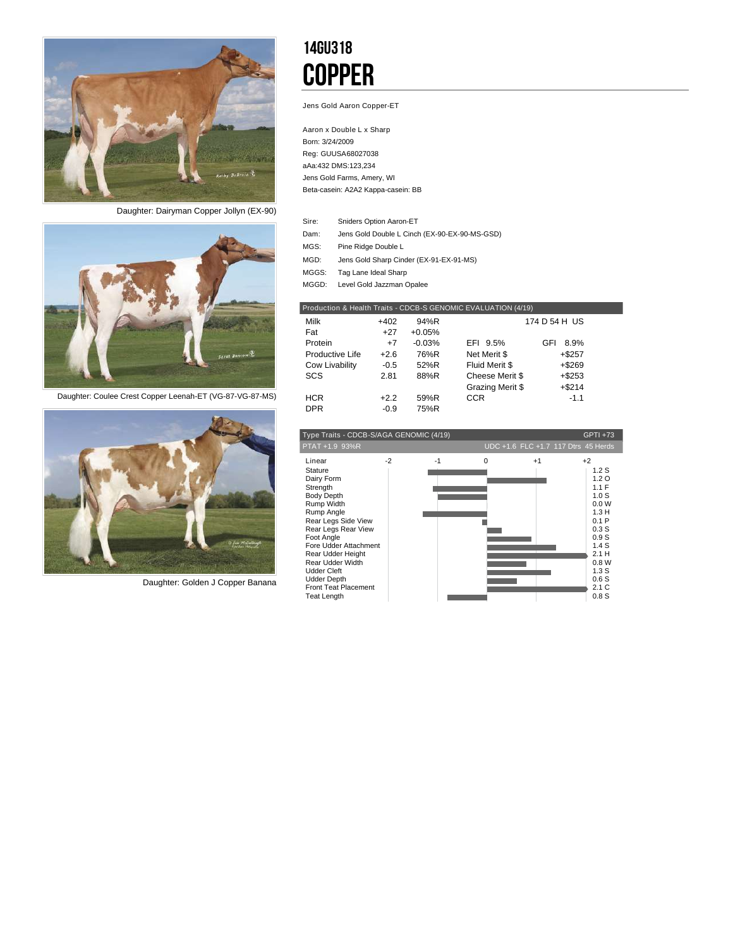

*Daughter: Dairyman Copper Jollyn (EX-90)*



*Daughter: Coulee Crest Copper Leenah-ET (VG-87-VG-87-MS)*



*Daughter: Golden J Copper Banana*

## 14GU318 **COPPER**

Jens Gold Aaron Copper-ET

Aaron x Double L x Sharp Born: 3/24/2009 Reg: GUUSA68027038 aAa:432 DMS:123,234 Beta-casein: A2A2 Kappa-casein: BB Jens Gold Farms, Amery, WI

- Sniders Option Aaron-ET Sire:
- Dam: Jens Gold Double L Cinch (EX-90-EX-90-MS-GSD)
- Pine Ridge Double L MGS:
- Jens Gold Sharp Cinder (EX-91-EX-91-MS) MGD:
- Tag Lane Ideal Sharp MGGS:
- MGGD: Level Gold Jazzman Opalee

|                 |        |          | Production & Health Traits - CDCB-S GENOMIC EVALUATION (4/19) |               |  |
|-----------------|--------|----------|---------------------------------------------------------------|---------------|--|
| Milk            | $+402$ | 94%R     |                                                               | 174 D 54 H US |  |
| Fat             | $+27$  | $+0.05%$ |                                                               |               |  |
| Protein         | $+7$   | $-0.03%$ | EFI 9.5%                                                      | 8.9%<br>GFI   |  |
| Productive Life | $+2.6$ | 76%R     | Net Merit \$                                                  | $+$ \$257     |  |
| Cow Livability  | $-0.5$ | 52%R     | Fluid Merit \$                                                | $+ $269$      |  |
| SCS             | 2.81   | 88%R     | Cheese Merit \$                                               | $+ $253$      |  |
|                 |        |          | Grazing Merit \$                                              | $+ $214$      |  |
| <b>HCR</b>      | $+2.2$ | 59%R     | <b>CCR</b>                                                    | $-1.1$        |  |
| <b>DPR</b>      | $-0.9$ | 75%R     |                                                               |               |  |

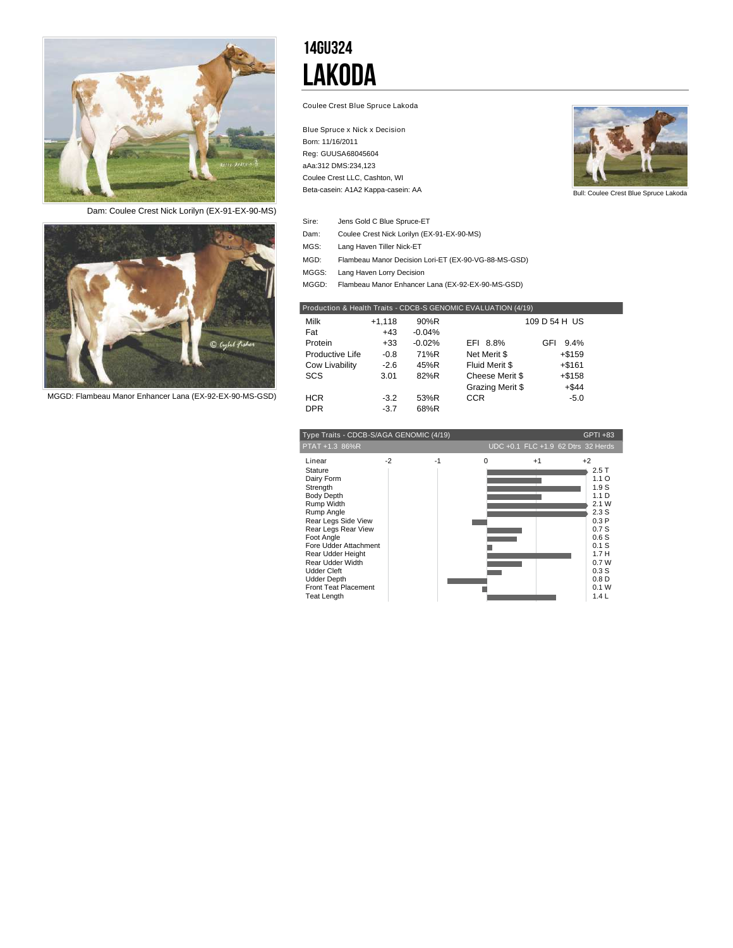

*Dam: Coulee Crest Nick Lorilyn (EX-91-EX-90-MS)*



*MGGD: Flambeau Manor Enhancer Lana (EX-92-EX-90-MS-GSD)*

## 14GU324 Lakoda

Coulee Crest Blue Spruce Lakoda

Blue Spruce x Nick x Decision Born: 11/16/2011 Reg: GUUSA68045604 aAa:312 DMS:234,123 Beta-casein: A1A2 Kappa-casein: AA Coulee Crest LLC, Cashton, WI



| Sire: | Jens Gold C Blue Spruce-ET |
|-------|----------------------------|
|       |                            |

- Dam: Coulee Crest Nick Lorilyn (EX-91-EX-90-MS)
- Lang Haven Tiller Nick-ET MGS:
- Flambeau Manor Decision Lori-ET (EX-90-VG-88-MS-GSD) MGD:
- MGGS: Lang Haven Lorry Decision
- MGGD: Flambeau Manor Enhancer Lana (EX-92-EX-90-MS-GSD)

| Production & Health Traits - CDCB-S GENOMIC EVALUATION (4/19) |          |          |                  |               |  |  |  |  |  |  |  |
|---------------------------------------------------------------|----------|----------|------------------|---------------|--|--|--|--|--|--|--|
| Milk                                                          | $+1.118$ | 90%R     |                  | 109 D 54 H US |  |  |  |  |  |  |  |
| Fat                                                           | $+43$    | $-0.04%$ |                  |               |  |  |  |  |  |  |  |
| Protein                                                       | $+33$    | $-0.02%$ | EFI 8.8%         | 9.4%<br>GFI   |  |  |  |  |  |  |  |
| Productive Life                                               | $-0.8$   | 71%R     | Net Merit \$     | $+$ \$159     |  |  |  |  |  |  |  |
| Cow Livability                                                | $-2.6$   | 45%R     | Fluid Merit \$   | $+ $161$      |  |  |  |  |  |  |  |
| SCS                                                           | 3.01     | 82%R     | Cheese Merit \$  | $+$ \$158     |  |  |  |  |  |  |  |
|                                                               |          |          | Grazing Merit \$ | $+ $44$       |  |  |  |  |  |  |  |
| <b>HCR</b>                                                    | $-3.2$   | 53%R     | <b>CCR</b>       | $-5.0$        |  |  |  |  |  |  |  |
| <b>DPR</b>                                                    | $-3.7$   | 68%R     |                  |               |  |  |  |  |  |  |  |
|                                                               |          |          |                  |               |  |  |  |  |  |  |  |

| GPTI +83<br>Type Traits - CDCB-S/AGA GENOMIC (4/19)                                                                                                                                                                                                                                                                  |      |      |          |                                    |                                                                                                                                                                   |  |  |  |  |  |
|----------------------------------------------------------------------------------------------------------------------------------------------------------------------------------------------------------------------------------------------------------------------------------------------------------------------|------|------|----------|------------------------------------|-------------------------------------------------------------------------------------------------------------------------------------------------------------------|--|--|--|--|--|
| PTAT +1.3 86%R                                                                                                                                                                                                                                                                                                       |      |      |          | UDC +0.1 FLC +1.9 62 Dtrs 32 Herds |                                                                                                                                                                   |  |  |  |  |  |
| Linear<br>Stature<br>Dairy Form<br>Strength<br><b>Body Depth</b><br>Rump Width<br>Rump Angle<br>Rear Legs Side View<br>Rear Legs Rear View<br>Foot Angle<br>Fore Udder Attachment<br>Rear Udder Height<br>Rear Udder Width<br><b>Udder Cleft</b><br><b>Udder Depth</b><br>Front Teat Placement<br><b>Teat Length</b> | $-2$ | $-1$ | $\Omega$ | $+1$                               | $+2$<br>2.5T<br>1.1O<br>1.9S<br>1.1 <sub>D</sub><br>2.1 W<br>2.3S<br>0.3P<br>0.7S<br>0.6S<br>$0.1$ S<br>1.7H<br>0.7W<br>0.3S<br>0.8 <sub>D</sub><br>0.1 W<br>1.4L |  |  |  |  |  |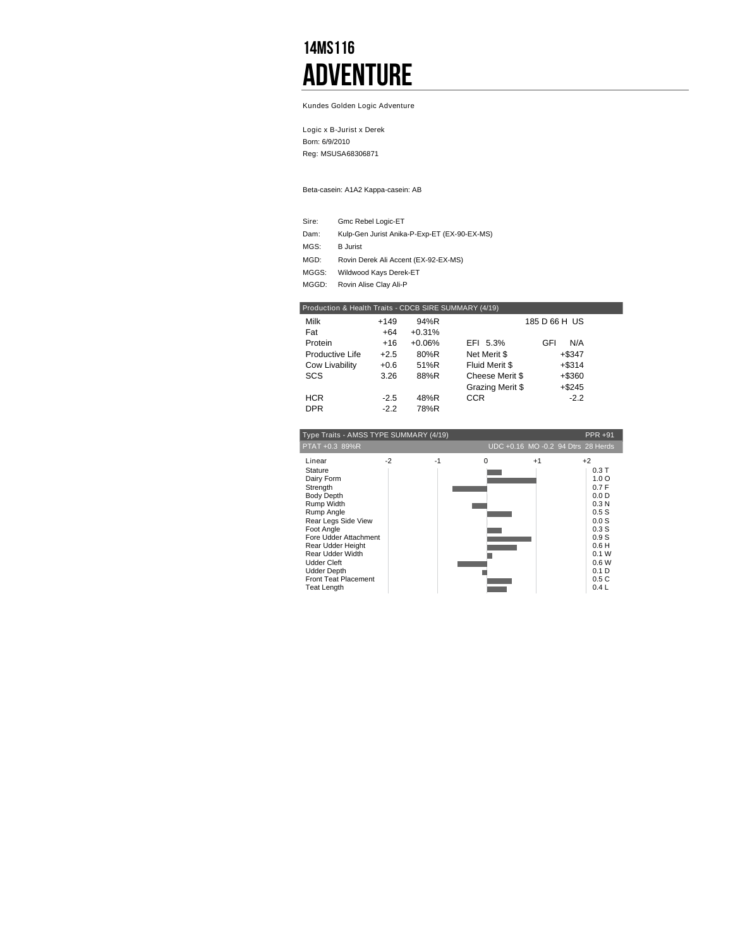## 14MS116 **ADVENTURE**

Kundes Golden Logic Adventure

Logic x B-Jurist x Derek Born: 6/9/2010 Reg: MSUSA68306871

Beta-casein: A1A2 Kappa-casein: AB

| Sire: | Gmc Rebel Logic-ET                           |
|-------|----------------------------------------------|
| Dam:  | Kulp-Gen Jurist Anika-P-Exp-ET (EX-90-EX-MS) |
| MGS:  | <b>B</b> Jurist                              |
| MGD:  | Rovin Derek Ali Accent (EX-92-EX-MS)         |
| MGGS: | Wildwood Kays Derek-ET                       |
| MGGD: | Rovin Alise Clay Ali-P                       |

| Production & Health Traits - CDCB SIRE SUMMARY (4/19) |        |          |                  |               |  |  |  |  |  |  |
|-------------------------------------------------------|--------|----------|------------------|---------------|--|--|--|--|--|--|
| Milk                                                  | $+149$ | 94%R     |                  | 185 D 66 H US |  |  |  |  |  |  |
| Fat                                                   | $+64$  | $+0.31%$ |                  |               |  |  |  |  |  |  |
| Protein                                               | $+16$  | $+0.06%$ | EFI 5.3%         | GFI<br>N/A    |  |  |  |  |  |  |
| Productive Life                                       | $+2.5$ | 80%R     | Net Merit \$     | $+$ \$347     |  |  |  |  |  |  |
| Cow Livability                                        | $+0.6$ | 51%R     | Fluid Merit \$   | $+ $314$      |  |  |  |  |  |  |
| <b>SCS</b>                                            | 3.26   | 88%R     | Cheese Merit \$  | +\$360        |  |  |  |  |  |  |
|                                                       |        |          | Grazing Merit \$ | $+$ \$245     |  |  |  |  |  |  |
| <b>HCR</b>                                            | $-2.5$ | 48%R     | <b>CCR</b>       | $-2.2$        |  |  |  |  |  |  |
| <b>DPR</b>                                            | $-2.2$ | 78%R     |                  |               |  |  |  |  |  |  |

| Type Traits - AMSS TYPE SUMMARY (4/19)                                                                                                                                                                                                                                                               |      |      |          |                                    |                                                                                                                                                                               |  |  |  |  |  |
|------------------------------------------------------------------------------------------------------------------------------------------------------------------------------------------------------------------------------------------------------------------------------------------------------|------|------|----------|------------------------------------|-------------------------------------------------------------------------------------------------------------------------------------------------------------------------------|--|--|--|--|--|
| PTAT +0.3 89%R                                                                                                                                                                                                                                                                                       |      |      |          | UDC +0.16 MO -0.2 94 Dtrs 28 Herds |                                                                                                                                                                               |  |  |  |  |  |
| Linear<br>Stature<br>Dairy Form<br>Strength<br><b>Body Depth</b><br>Rump Width<br>Rump Angle<br>Rear Legs Side View<br>Foot Angle<br>Fore Udder Attachment<br>Rear Udder Height<br>Rear Udder Width<br><b>Udder Cleft</b><br><b>Udder Depth</b><br><b>Front Teat Placement</b><br><b>Teat Length</b> | $-2$ | $-1$ | $\Omega$ | $+1$                               | $+2$<br>0.3T<br>1.0 <sub>O</sub><br>0.7F<br>0.0 <sub>D</sub><br>0.3 <sub>N</sub><br>0.5S<br>0.0S<br>0.3S<br>0.9S<br>0.6H<br>0.1 W<br>0.6W<br>0.1 <sub>D</sub><br>0.5C<br>0.4L |  |  |  |  |  |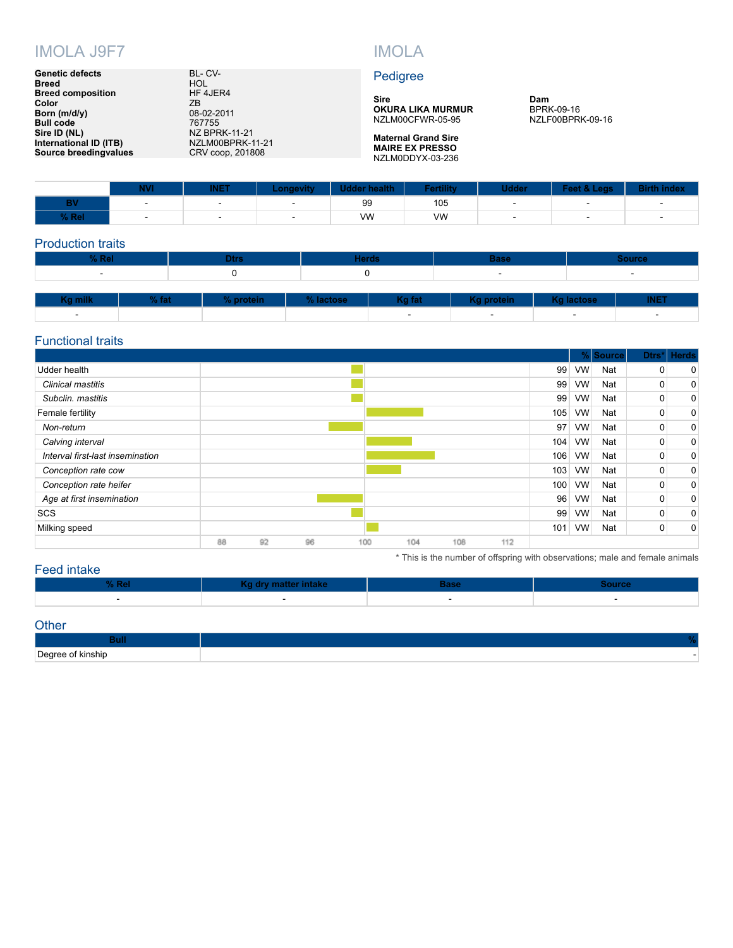

#### **Genetic defects** BL- CV-**Breed** HOL **Breed composition** HF 4JER4 **Color** ZB **Born (m/d/y)** 08-02-2011 **Bull code** 767755 **Sire ID (NL)** NZ BPRK-11-21 **International ID (ITB)** NZLM00BPRK-11-21 **Source breedingvalues** CRV coop, 201808

#### Pedigree

**Sire [OKURA LIKA MURMUR](https://apps.crv4all.com/siresearch/us/detail/NZLM00CFWR-05-95)** NZLM00CFWR-05-95

**Maternal Grand Sire [MAIRE EX PRESSO](https://apps.crv4all.com/siresearch/us/detail/NZLM0DDYX-03-236)** NZLM0DDYX-03-236 **Dam** BPRK-09-16 NZLF00BPRK-09-16

\* This is the number of offspring with observations; male and female animals

|       | <b>NVI</b> | <b>INET</b> | Longevity 7 | Udder health Fertility |     | <b>Udder</b> | Feet & Legs Birth index |  |
|-------|------------|-------------|-------------|------------------------|-----|--------------|-------------------------|--|
|       |            |             |             | 99                     | 105 |              |                         |  |
| % Rel |            |             |             | VW                     | VW  |              |                         |  |

#### Production traits

| $%$ Rel                  |  | Dtrs:     |  |           | <b>Herds</b>             |            | <b>Source</b>            |                          |
|--------------------------|--|-----------|--|-----------|--------------------------|------------|--------------------------|--------------------------|
| $\overline{\phantom{a}}$ |  |           |  |           | $\overline{\phantom{a}}$ |            | $\overline{\phantom{0}}$ |                          |
|                          |  |           |  |           |                          |            |                          |                          |
| Kg milk<br>$%$ fat       |  | % protein |  | % lactose | Kg fat                   | Kg protein | Kg lactose               | <b>INET</b>              |
| $\overline{\phantom{a}}$ |  |           |  |           | $\overline{\phantom{a}}$ | $\sim$     | $\overline{\phantom{a}}$ | $\overline{\phantom{a}}$ |

#### Functional traits

|                                  |    |    |    |     |     |     |     |     | $\%$      | <b>Source</b> | Dtrs' | <b>Herds</b> |
|----------------------------------|----|----|----|-----|-----|-----|-----|-----|-----------|---------------|-------|--------------|
| Udder health                     |    |    |    |     |     |     |     | 99  | <b>VW</b> | Nat           | 0     | 0            |
| Clinical mastitis                |    |    |    |     |     |     |     | 99  | <b>VW</b> | Nat           | 0     | 0            |
| Subclin. mastitis                |    |    |    |     |     |     |     | 99  | <b>VW</b> | Nat           | 0     | 0            |
| Female fertility                 |    |    |    |     |     |     |     | 105 | VW        | Nat           | 0     | 0            |
| Non-return                       |    |    |    |     |     |     |     | 97  | <b>VW</b> | Nat           | 0     | $\mathbf 0$  |
| Calving interval                 |    |    |    |     |     |     |     | 104 | <b>VW</b> | Nat           | 0     | 0            |
| Interval first-last insemination |    |    |    |     |     |     |     | 106 | <b>VW</b> | Nat           | 0     | 0            |
| Conception rate cow              |    |    |    |     |     |     |     | 103 | <b>VW</b> | Nat           | 0     | 0            |
| Conception rate heifer           |    |    |    |     |     |     |     | 100 | <b>VW</b> | Nat           | 0     | 0            |
| Age at first insemination        |    |    |    |     |     |     |     | 96  | <b>VW</b> | Nat           | 0     | 0            |
| <b>SCS</b>                       |    |    |    |     |     |     |     | 99  | <b>VW</b> | Nat           | 0     | $\mathbf 0$  |
| Milking speed                    |    |    |    |     |     |     |     | 101 | <b>VW</b> | Nat           | 0     | 0            |
|                                  | 88 | 92 | 96 | 100 | 104 | 108 | 112 |     |           |               |       |              |

#### Fee

| <sup>⊣</sup> intake |                   |        |  |  |  |  |  |  |  |  |  |
|---------------------|-------------------|--------|--|--|--|--|--|--|--|--|--|
| $\sqrt{2}$          | dry matter intake |        |  |  |  |  |  |  |  |  |  |
|                     |                   | $\sim$ |  |  |  |  |  |  |  |  |  |

#### **Other**

| Degree<br>≧of kinship<br>- - - - |  |
|----------------------------------|--|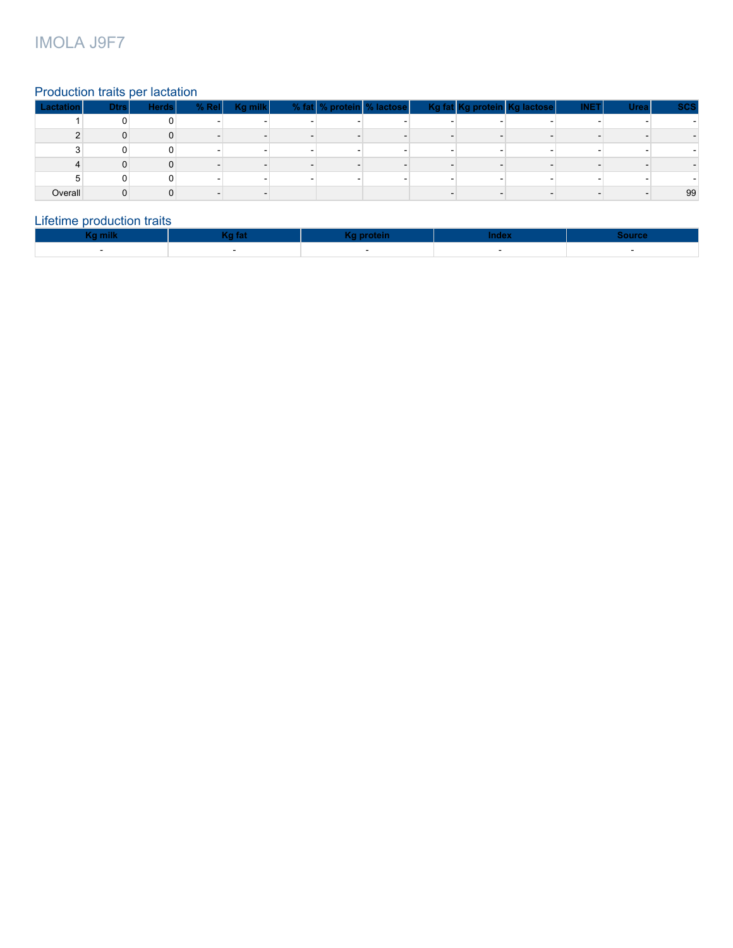### IMOLA J9F7

#### Production traits per lactation

| Lactation | <b>Dtrs</b> | <b>Herds</b> | % Rel Kg milk | % fat % protein % lactose |  | Kg fat Kg protein Kg lactose | <b>INET</b> | <b>Urea</b> | <b>SCS</b> |
|-----------|-------------|--------------|---------------|---------------------------|--|------------------------------|-------------|-------------|------------|
|           |             |              |               |                           |  |                              |             |             |            |
|           |             |              |               |                           |  |                              |             |             |            |
|           |             |              |               |                           |  |                              |             |             |            |
|           |             |              |               |                           |  |                              |             |             |            |
|           |             |              |               |                           |  |                              |             |             |            |
| Overall   |             |              |               |                           |  |                              |             |             | 99         |

#### Lifetime production traits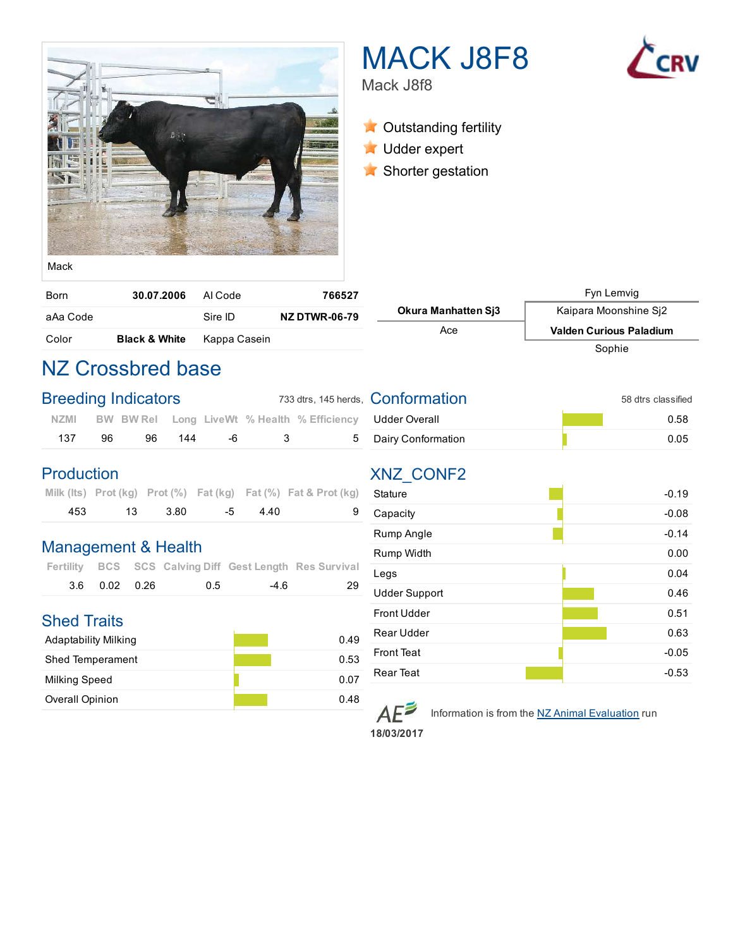

# MACK J8F8



Mack J8f8

**X** Outstanding fertility

- **Udder expert**
- **K** Shorter gestation

| iviuvi         |  |
|----------------|--|
|                |  |
| $R_{\alpha r}$ |  |

| Born     | 30.07.2006               | Al Code      | 766527               |                            | Fyn Lemvig                     |
|----------|--------------------------|--------------|----------------------|----------------------------|--------------------------------|
| aAa Code |                          | Sire ID      | <b>NZ DTWR-06-79</b> | <b>Okura Manhatten Si3</b> | Kaipara Moonshine Si2          |
| Color    | <b>Black &amp; White</b> | Kappa Casein |                      | Асе                        | <b>Valden Curious Paladium</b> |
|          |                          |              |                      |                            | Sophie                         |

## NZ Crossbred base

| <b>Breeding Indicators</b> |    |    |     |  | 733 dtrs, 145 herds, <b>Conformation</b> | 58 dtrs classified                                             |      |  |  |
|----------------------------|----|----|-----|--|------------------------------------------|----------------------------------------------------------------|------|--|--|
|                            |    |    |     |  |                                          | NZMI BW BW Rel Long LiveWt % Health % Efficiency Udder Overall | 0.58 |  |  |
| 137                        | 96 | 96 | 144 |  | . 5                                      | Dairy Conformation                                             | 0.05 |  |  |

#### Production

|     |      |        |           |      | Milk (Its) Prot (kg) Prot $(\%)$ Fat (kg) Fat $(\%)$ Fat & Prot (kg) |
|-----|------|--------|-----------|------|----------------------------------------------------------------------|
| 453 | - 13 | - 3.80 | $-5$ $-5$ | -440 |                                                                      |

#### Management & Health

|               |     |      | Fertility BCS SCS Calving Diff Gest Length Res Survival |
|---------------|-----|------|---------------------------------------------------------|
| 3.6 0.02 0.26 | 0.5 | -4.6 | 29                                                      |

### Shed Traits

| Adaptability Milking    | 0.49 |
|-------------------------|------|
| <b>Shed Temperament</b> | 0.53 |
| <b>Milking Speed</b>    | 0.07 |
| <b>Overall Opinion</b>  | 0.48 |

| Udder Overall      | 0.58 |
|--------------------|------|
| Dairy Conformation | 0.05 |

## XNZ\_CONF2

| Stature              | $-0.19$ |
|----------------------|---------|
| Capacity             | $-0.08$ |
| Rump Angle           | $-0.14$ |
| Rump Width           | 0.00    |
| Legs                 | 0.04    |
| <b>Udder Support</b> | 0.46    |
| <b>Front Udder</b>   | 0.51    |
| Rear Udder           | 0.63    |
| <b>Front Teat</b>    | $-0.05$ |
| <b>Rear Teat</b>     | $-0.53$ |



Information is from the NZ Animal Evaluation run

18/03/2017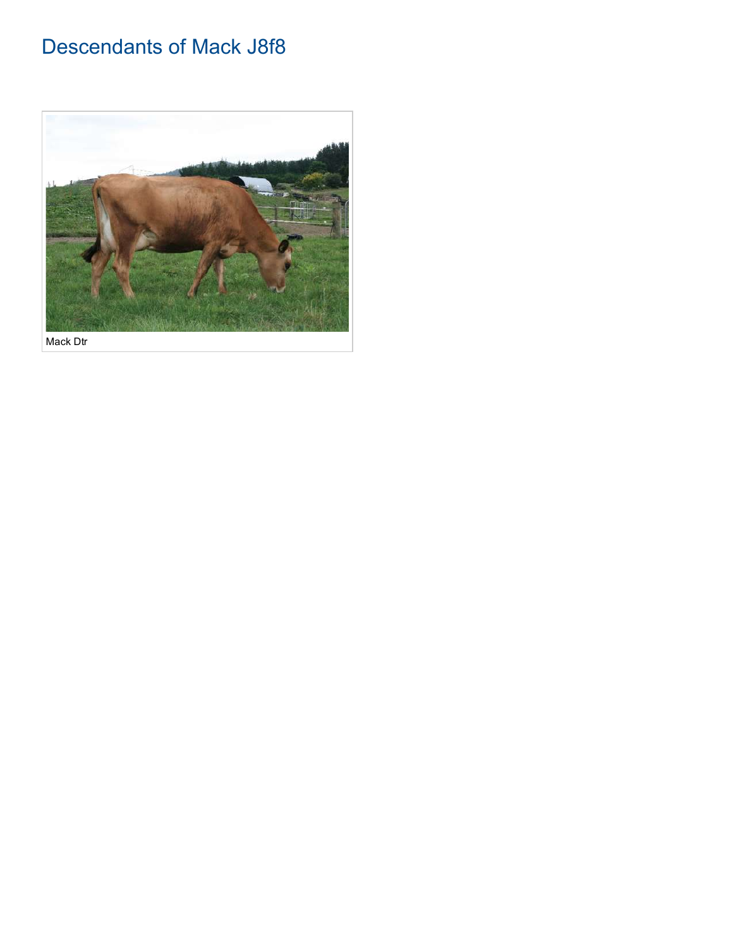## Descendants of Mack J8f8